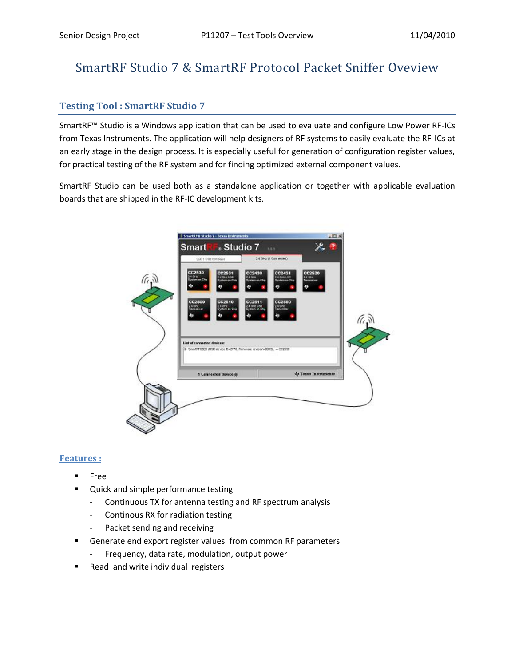# SmartRF Studio 7 & SmartRF Protocol Packet Sniffer Oveview

### **Testing Tool : SmartRF Studio 7**

SmartRF™ Studio is a Windows application that can be used to evaluate and configure Low Power RF-ICs from Texas Instruments. The application will help designers of RF systems to easily evaluate the RF-ICs at an early stage in the design process. It is especially useful for generation of configuration register values, for practical testing of the RF system and for finding optimized external component values.

SmartRF Studio can be used both as a standalone application or together with applicable evaluation boards that are shipped in the RF-IC development kits.

|       | Sub 1 GHz (Striband)                                                         | 2.4 0Hz (1 Cannected)                                                         |                             |        |
|-------|------------------------------------------------------------------------------|-------------------------------------------------------------------------------|-----------------------------|--------|
| د ،)) | CC2530<br>CC2531<br>24.046<br>2.4 GAL USE<br>Rystem on Chip<br>System.on.Chi | CC2430<br>CC2431<br>2.4 GAILLOC<br>System.on.Chip<br>2.4 G41<br>Tystem an Che | CC2520<br>2.4 GHz           |        |
|       |                                                                              | đp<br>50                                                                      | æ                           |        |
|       | CC2510<br>CC2500<br>Z K OHK<br>240he<br><b>AVENID-DECCTS</b>                 | CC2550<br>CC2511<br>2.4 OHz 1975<br>Til der                                   |                             |        |
|       |                                                                              | ÷                                                                             |                             | (i, j) |
|       | List of connected devices:                                                   |                                                                               |                             |        |
|       | P ShertP716EB (USB revice D=2770, Finningre revision=0013), - CC2530         |                                                                               |                             |        |
|       | 1 Connected device(s)                                                        |                                                                               | <b>49 Texas Instruments</b> |        |
|       |                                                                              |                                                                               |                             |        |
|       |                                                                              |                                                                               |                             |        |

#### **Features :**

- Free
- **Quick and simple performance testing** 
	- Continuous TX for antenna testing and RF spectrum analysis
	- Continous RX for radiation testing
	- Packet sending and receiving
- **Generate end export register values from common RF parameters** 
	- Frequency, data rate, modulation, output power
- Read and write individual registers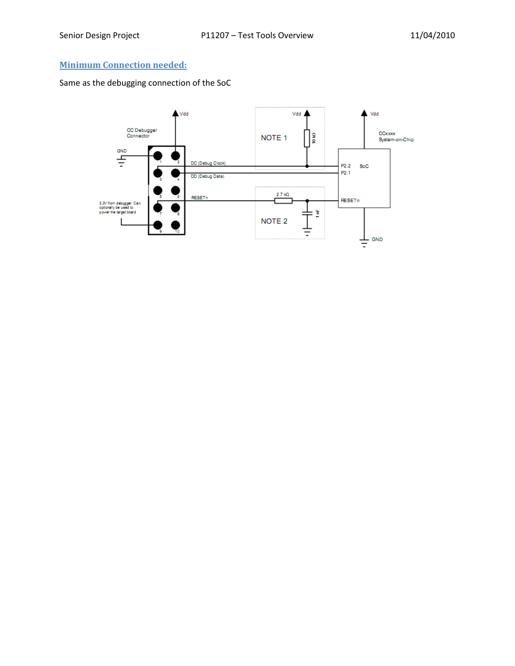## **Minimum Connection needed:**

Same as the debugging connection of the SoC

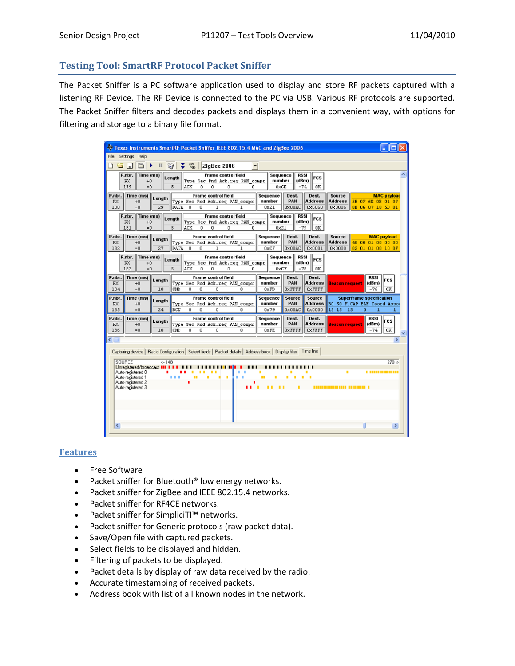### **Testing Tool: SmartRF Protocol Packet Sniffer**

The Packet Sniffer is a PC software application used to display and store RF packets captured with a listening RF Device. The RF Device is connected to the PC via USB. Various RF protocols are supported. The Packet Sniffer filters and decodes packets and displays them in a convenient way, with options for filtering and storage to a binary file format.

| Texas Instruments SmartRF Packet Sniffer IEEE 802.15.4 MAC and ZigBee 2006                                                |                   |         |             |                  |                                                              |              |   |                       |                      |                      |                          |                                          |                                        |                      |               |   |
|---------------------------------------------------------------------------------------------------------------------------|-------------------|---------|-------------|------------------|--------------------------------------------------------------|--------------|---|-----------------------|----------------------|----------------------|--------------------------|------------------------------------------|----------------------------------------|----------------------|---------------|---|
| File Settings Help                                                                                                        |                   |         |             |                  |                                                              |              |   |                       |                      |                      |                          |                                          |                                        |                      |               |   |
| 工、<br>$\Box$<br>G<br>ZigBee 2006<br>⊖<br>$\lceil$ <sub>a</sub><br>$\mathbf{H}$<br>$\overline{\phantom{a}}$                |                   |         |             |                  |                                                              |              |   |                       |                      |                      |                          |                                          |                                        |                      |               |   |
| P.nbr.                                                                                                                    | Time (ms)         |         | Length      |                  | <b>Frame control field</b>                                   |              |   | Sequence              |                      | <b>RSSI</b><br>(dBm) | <b>FCS</b>               |                                          |                                        |                      |               | ⋏ |
| <b>RX</b><br>179                                                                                                          | $+0$<br>$= 0$     |         | 5           | ACK<br>n         | Type Sec Pnd Ack.reg PAN compr<br>n.<br>n.                   | 0.           |   | number<br>0xCE        |                      | $-74$                | 0K                       |                                          |                                        |                      |               |   |
| P.nbr.<br>Time (ms)<br><b>Frame control field</b><br>Sequence<br>Dest.<br>Dest.<br>Source<br><b>MAC</b> payload<br>Length |                   |         |             |                  |                                                              |              |   |                       |                      |                      |                          |                                          |                                        |                      |               |   |
| RX<br>180                                                                                                                 | $+0$<br>$= 0$     | 29      | DATA        | $^{\circ}$<br>o. | Type Sec Pnd Ack.req PAN compr<br>1                          |              |   | number<br>0x21        | PAN<br>0x00AC        |                      | <b>Address</b><br>0x6060 | <b>Address</b><br>0x0006                 | 5B OF 6E OB 01 07<br>OE 06 07 10 5D 01 |                      |               |   |
| P.nbr.<br>Time (ms)<br>Frame control field<br>Sequence<br>RSSI                                                            |                   |         |             |                  |                                                              |              |   |                       |                      |                      |                          |                                          |                                        |                      |               |   |
| <b>RX</b><br>181                                                                                                          | $+0$<br>$= 0$     |         | Length<br>5 | ACK<br>o         | Type Sec Pnd Ack.req PAN compr<br>ō<br>ō                     | o            |   | number<br>0x21        |                      | (dBm)<br>$-79$       | <b>FCS</b><br>0K         |                                          |                                        |                      |               |   |
| P.nbr.                                                                                                                    | Time (ms)         |         |             |                  | <b>Frame control field</b>                                   |              |   | Sequence              | Dest.                |                      | Dest.                    | Source                                   |                                        | <b>MAC</b> payload   |               |   |
| RX.                                                                                                                       | $+0$              | Length  |             |                  | Type Sec Pnd Ack.reg PAN compr                               |              |   | number                | PAN                  |                      | <b>Address</b>           | <b>Address</b>                           | 48 00 01 00 00 00                      |                      |               |   |
| 182                                                                                                                       | $= 0$             | 27      | DATA        | $\sqrt{2}$<br>0  | $\mathbf{1}$                                                 | $\mathbf{1}$ |   | 0xCF                  | 0x00AC               |                      | 0x0001                   | 0x0000                                   | 02 01 01 00 10 OF                      |                      |               |   |
| P.nbr.<br><b>RX</b>                                                                                                       | Time (ms)<br>$+0$ |         | Length      |                  | <b>Frame control field</b><br>Type Sec Pnd Ack.reg PAN compr |              |   | Sequence<br>number    |                      | RSSI<br>(dBm)        | <b>FCS</b>               |                                          |                                        |                      |               |   |
| 183                                                                                                                       | $= 0$             |         | 5           | ACK<br>$\Omega$  | 0<br>o                                                       | 0.           |   | 0xCF                  |                      | $-78$                | 0K                       |                                          |                                        |                      |               |   |
| P.nbr.<br>RX                                                                                                              | Time (ms)<br>$+0$ | Length  |             |                  | <b>Frame control field</b><br>Type Sec Pnd Ack.req PAN compr |              |   | Sequence<br>number    | Dest.<br>PAN         |                      | Dest.<br><b>Address</b>  | <b>Beacon request</b>                    |                                        | <b>RSSI</b><br>(dBm) | <b>FCS</b>    |   |
| 184                                                                                                                       | $= 0$             | 10      | CMD         | o<br>n           | n                                                            | $\Omega$     |   | 0xFD                  | 0xFFFF               |                      | 0xFFFF                   |                                          |                                        | $-76$                | 0K            |   |
| P.nbr.                                                                                                                    | Time (ms)         | Lenath  |             |                  | <b>Frame control field</b>                                   |              |   | Sequence              | Source               |                      | Source                   |                                          | <b>Superframe specification</b>        |                      |               |   |
| RX<br>185                                                                                                                 | $+0$<br>$= 0$     | 24      | BCN         | o<br>n           | Type Sec Pnd Ack.reg PAN compr<br>o                          | n            |   | number<br>0x79        | PAN<br>0x00AC        |                      | <b>Address</b><br>0x0000 | BO SO F. CAP BLE Coord Assoc<br>15 15 15 | o                                      | 1                    |               |   |
| P.nbr.                                                                                                                    | Time (ms)         | Length  |             |                  | Frame control field                                          |              |   | Sequence              | Dest.                |                      | Dest.                    |                                          |                                        | <b>RSSI</b>          | <b>FCS</b>    |   |
| <b>RX</b><br>186                                                                                                          | $+0$<br>$= 0$     | 10      | CMD         | o<br>0           | Type Sec Pnd Ack.reg PAN compr<br>o                          | 0            |   | number<br><b>OXFE</b> | PAN<br><b>OXFFFF</b> |                      | <b>Address</b><br>0xFFFF | <b>Beacon request</b>                    |                                        | (dBm)<br>$-74$       | 0K            |   |
| $\leftarrow$                                                                                                              |                   |         |             |                  |                                                              |              |   |                       |                      |                      |                          |                                          |                                        |                      | $\rightarrow$ |   |
|                                                                                                                           |                   |         |             |                  |                                                              |              |   |                       |                      |                      |                          |                                          |                                        |                      |               |   |
| Capturing device   Radio Configuration   Select fields   Packet details   Address book   Display filter   Time line       |                   |         |             |                  |                                                              |              |   |                       |                      |                      |                          |                                          |                                        |                      |               |   |
| SOURCE<br>Unregistered/broadcast III II                                                                                   |                   | $<-148$ |             |                  |                                                              |              |   |                       |                      |                      |                          |                                          |                                        |                      | $270 -$       |   |
| Auto-registered 0<br>Auto-registered 1                                                                                    |                   | ٠       | .           | ш<br>٠           | п                                                            |              | ш |                       |                      |                      |                          |                                          |                                        |                      |               |   |
| Auto-registered 2<br>Auto-registered 3                                                                                    |                   |         |             |                  |                                                              |              |   |                       |                      |                      |                          | _________________________                |                                        |                      |               |   |
|                                                                                                                           |                   |         |             |                  |                                                              |              |   |                       |                      |                      |                          |                                          |                                        |                      |               |   |
|                                                                                                                           |                   |         |             |                  |                                                              |              |   |                       |                      |                      |                          |                                          |                                        |                      |               |   |
|                                                                                                                           |                   |         |             |                  |                                                              |              |   |                       |                      |                      |                          |                                          |                                        |                      |               |   |
|                                                                                                                           |                   |         |             |                  |                                                              |              |   |                       |                      |                      |                          |                                          |                                        |                      |               |   |
| ≺                                                                                                                         |                   |         |             |                  |                                                              |              |   |                       |                      |                      |                          |                                          |                                        |                      | $\rightarrow$ |   |

#### **Features**

- Free Software
- Packet sniffer for Bluetooth® low energy networks.
- Packet sniffer for ZigBee and IEEE 802.15.4 networks.
- Packet sniffer for RF4CE networks.
- Packet sniffer for SimpliciTI™ networks.
- Packet sniffer for Generic protocols (raw packet data).
- Save/Open file with captured packets.
- Select fields to be displayed and hidden.
- Filtering of packets to be displayed.
- Packet details by display of raw data received by the radio.
- Accurate timestamping of received packets.
- Address book with list of all known nodes in the network.